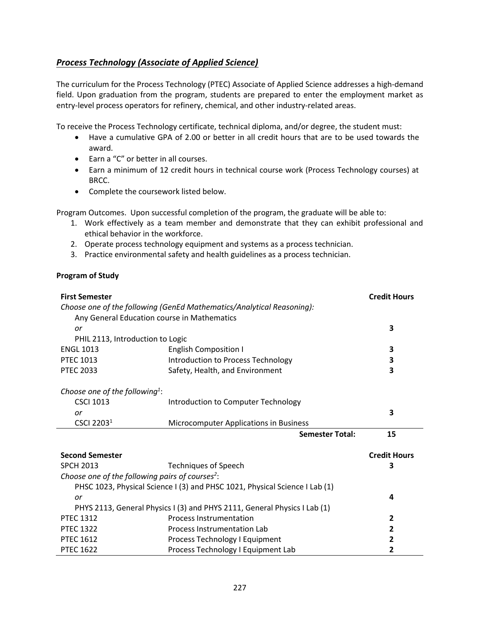## <span id="page-0-0"></span>*[Process Technology \(Associate of Applied Science\)](#page-0-0)*

The curriculum for the Process Technology (PTEC) Associate of Applied Science addresses a high-demand field. Upon graduation from the program, students are prepared to enter the employment market as entry-level process operators for refinery, chemical, and other industry-related areas.

To receive the Process Technology certificate, technical diploma, and/or degree, the student must:

- Have a cumulative GPA of 2.00 or better in all credit hours that are to be used towards the award.
- Earn a "C" or better in all courses.
- Earn a minimum of 12 credit hours in technical course work (Process Technology courses) at BRCC.
- Complete the coursework listed below.

Program Outcomes. Upon successful completion of the program, the graduate will be able to:

- 1. Work effectively as a team member and demonstrate that they can exhibit professional and ethical behavior in the workforce.
- 2. Operate process technology equipment and systems as a process technician.
- 3. Practice environmental safety and health guidelines as a process technician.

## **Program of Study**

| <b>First Semester</b>                                                       |                                        | <b>Credit Hours</b>     |  |
|-----------------------------------------------------------------------------|----------------------------------------|-------------------------|--|
| Choose one of the following (GenEd Mathematics/Analytical Reasoning):       |                                        |                         |  |
| Any General Education course in Mathematics                                 |                                        |                         |  |
| or                                                                          |                                        | 3                       |  |
| PHIL 2113, Introduction to Logic                                            |                                        |                         |  |
| <b>ENGL 1013</b>                                                            | <b>English Composition I</b>           | 3                       |  |
| <b>PTEC 1013</b>                                                            | Introduction to Process Technology     | 3                       |  |
| <b>PTEC 2033</b>                                                            | Safety, Health, and Environment        | 3                       |  |
|                                                                             |                                        |                         |  |
| Choose one of the following <sup>1</sup> :                                  |                                        |                         |  |
| <b>CSCI 1013</b>                                                            | Introduction to Computer Technology    |                         |  |
| or                                                                          |                                        | 3                       |  |
| CSCI 2203 <sup>1</sup>                                                      | Microcomputer Applications in Business |                         |  |
|                                                                             | <b>Semester Total:</b>                 | 15                      |  |
| <b>Second Semester</b>                                                      |                                        | <b>Credit Hours</b>     |  |
| <b>SPCH 2013</b>                                                            | <b>Techniques of Speech</b>            | 3                       |  |
| Choose one of the following pairs of courses <sup>2</sup> :                 |                                        |                         |  |
| PHSC 1023, Physical Science I (3) and PHSC 1021, Physical Science I Lab (1) |                                        |                         |  |
| or                                                                          |                                        | 4                       |  |
| PHYS 2113, General Physics I (3) and PHYS 2111, General Physics I Lab (1)   |                                        |                         |  |
| <b>PTEC 1312</b>                                                            | <b>Process Instrumentation</b>         | $\mathbf{2}$            |  |
| <b>PTEC 1322</b>                                                            | Process Instrumentation Lab            | $\overline{2}$          |  |
| <b>PTEC 1612</b>                                                            | Process Technology I Equipment         | $\overline{\mathbf{2}}$ |  |
| <b>PTEC 1622</b>                                                            | Process Technology I Equipment Lab     | 2                       |  |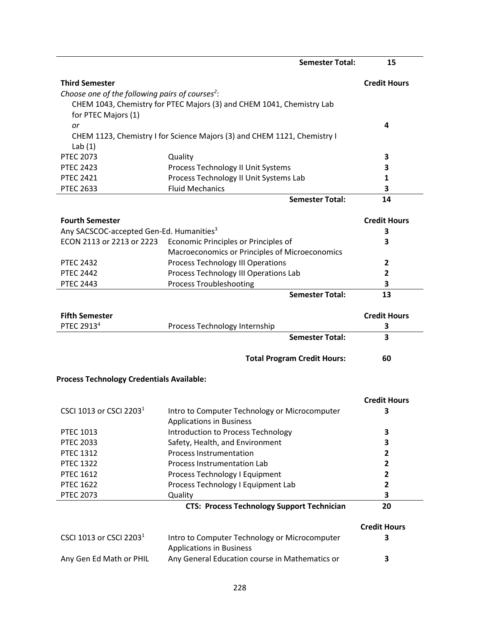|                                                             | <b>Semester Total:</b>                                                           | 15                  |
|-------------------------------------------------------------|----------------------------------------------------------------------------------|---------------------|
| <b>Third Semester</b>                                       |                                                                                  | <b>Credit Hours</b> |
| Choose one of the following pairs of courses <sup>2</sup> : |                                                                                  |                     |
| for PTEC Majors (1)                                         | CHEM 1043, Chemistry for PTEC Majors (3) and CHEM 1041, Chemistry Lab            |                     |
| or                                                          |                                                                                  | 4                   |
|                                                             | CHEM 1123, Chemistry I for Science Majors (3) and CHEM 1121, Chemistry I         |                     |
| Lab $(1)$                                                   |                                                                                  |                     |
| <b>PTEC 2073</b>                                            | Quality                                                                          | 3                   |
| <b>PTEC 2423</b>                                            |                                                                                  | 3                   |
|                                                             | Process Technology II Unit Systems                                               |                     |
| <b>PTEC 2421</b>                                            | Process Technology II Unit Systems Lab<br><b>Fluid Mechanics</b>                 | 1                   |
| <b>PTEC 2633</b>                                            |                                                                                  | 3                   |
|                                                             | <b>Semester Total:</b>                                                           | 14                  |
| <b>Fourth Semester</b>                                      |                                                                                  | <b>Credit Hours</b> |
| Any SACSCOC-accepted Gen-Ed. Humanities <sup>3</sup>        |                                                                                  | 3                   |
| ECON 2113 or 2213 or 2223                                   | Economic Principles or Principles of                                             | 3                   |
|                                                             | Macroeconomics or Principles of Microeconomics                                   |                     |
| <b>PTEC 2432</b>                                            | Process Technology III Operations                                                | 2                   |
| <b>PTEC 2442</b>                                            | Process Technology III Operations Lab                                            | 2                   |
| <b>PTEC 2443</b>                                            | <b>Process Troubleshooting</b>                                                   | 3                   |
|                                                             | <b>Semester Total:</b>                                                           | 13                  |
| <b>Fifth Semester</b>                                       |                                                                                  | <b>Credit Hours</b> |
| PTEC 2913 <sup>4</sup>                                      | Process Technology Internship                                                    | 3                   |
|                                                             | <b>Semester Total:</b>                                                           | 3                   |
|                                                             | <b>Total Program Credit Hours:</b>                                               | 60                  |
| <b>Process Technology Credentials Available:</b>            |                                                                                  |                     |
|                                                             |                                                                                  |                     |
|                                                             |                                                                                  | <b>Credit Hours</b> |
| CSCI 1013 or CSCI 2203 <sup>1</sup>                         | Intro to Computer Technology or Microcomputer<br><b>Applications in Business</b> | 3                   |
| PTEC 1013                                                   | Introduction to Process Technology                                               | 3                   |
| <b>PTEC 2033</b>                                            | Safety, Health, and Environment                                                  | 3                   |
| <b>PTEC 1312</b>                                            | Process Instrumentation                                                          | $\mathbf{2}$        |
| <b>PTEC 1322</b>                                            | Process Instrumentation Lab                                                      | $\mathbf{2}$        |
| <b>PTEC 1612</b>                                            | Process Technology I Equipment                                                   | 2                   |
| <b>PTEC 1622</b>                                            | Process Technology I Equipment Lab                                               | $\overline{2}$      |
| <b>PTEC 2073</b>                                            | Quality                                                                          | 3                   |
|                                                             | <b>CTS: Process Technology Support Technician</b>                                | 20                  |
|                                                             |                                                                                  | <b>Credit Hours</b> |
| CSCI 1013 or CSCI 2203 <sup>1</sup>                         | Intro to Computer Technology or Microcomputer                                    | 3                   |
|                                                             | <b>Applications in Business</b>                                                  |                     |
| Any Gen Ed Math or PHIL                                     | Any General Education course in Mathematics or                                   | 3                   |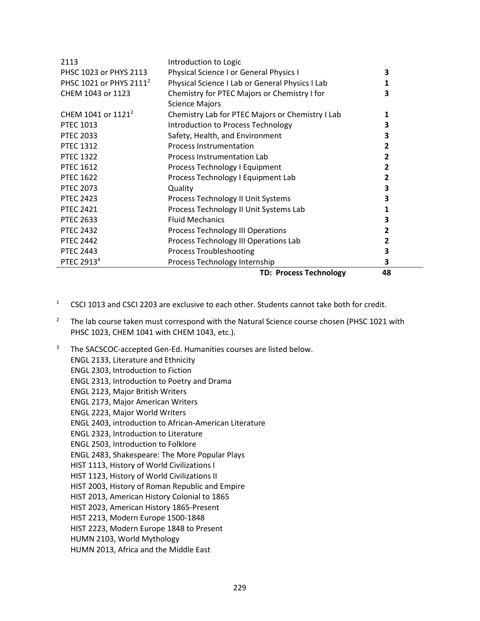| 2113                                | Introduction to Logic                            |                |
|-------------------------------------|--------------------------------------------------|----------------|
| PHSC 1023 or PHYS 2113              | Physical Science I or General Physics I          | 3              |
| PHSC 1021 or PHYS 2111 <sup>2</sup> | Physical Science I Lab or General Physics I Lab  | 1              |
| CHEM 1043 or 1123                   | Chemistry for PTEC Majors or Chemistry I for     | 3              |
|                                     | <b>Science Majors</b>                            |                |
| CHEM 1041 or 1121 <sup>2</sup>      | Chemistry Lab for PTEC Majors or Chemistry I Lab | 1              |
| <b>PTEC 1013</b>                    | Introduction to Process Technology               | 3              |
| <b>PTEC 2033</b>                    | Safety, Health, and Environment                  | 3              |
| <b>PTEC 1312</b>                    | <b>Process Instrumentation</b>                   | $\overline{2}$ |
| <b>PTEC 1322</b>                    | Process Instrumentation Lab                      | 2              |
| <b>PTEC 1612</b>                    | Process Technology I Equipment                   | 2              |
| <b>PTEC 1622</b>                    | Process Technology I Equipment Lab               | 2              |
| <b>PTEC 2073</b>                    | Quality                                          | 3              |
| <b>PTEC 2423</b>                    | Process Technology II Unit Systems               | 3              |
| <b>PTEC 2421</b>                    | Process Technology II Unit Systems Lab           | 1              |
| <b>PTEC 2633</b>                    | <b>Fluid Mechanics</b>                           | 3              |
| <b>PTEC 2432</b>                    | Process Technology III Operations                | 2              |
| <b>PTEC 2442</b>                    | Process Technology III Operations Lab            | 2              |
| <b>PTEC 2443</b>                    | <b>Process Troubleshooting</b>                   | 3              |
| PTEC 2913 <sup>4</sup>              | Process Technology Internship                    | 3              |
|                                     | <b>TD: Process Technology</b>                    | 48             |

- <sup>1</sup> CSCI 1013 and CSCI 2203 are exclusive to each other. Students cannot take both for credit.
- <sup>2</sup> The lab course taken must correspond with the Natural Science course chosen (PHSC 1021 with PHSC 1023, CHEM 1041 with CHEM 1043, etc.).
- <sup>3</sup> The SACSCOC-accepted Gen-Ed. Humanities courses are listed below. ENGL 2133, Literature and Ethnicity ENGL 2303, Introduction to Fiction ENGL 2313, Introduction to Poetry and Drama ENGL 2123, Major British Writers ENGL 2173, Major American Writers ENGL 2223, Major World Writers ENGL 2403, introduction to African-American Literature ENGL 2323, Introduction to Literature ENGL 2503, Introduction to Folklore ENGL 2483, Shakespeare: The More Popular Plays HIST 1113, History of World Civilizations I HIST 1123, History of World Civilizations II HIST 2003, History of Roman Republic and Empire HIST 2013, American History Colonial to 1865 HIST 2023, American History 1865-Present HIST 2213, Modern Europe 1500-1848 HIST 2223, Modern Europe 1848 to Present HUMN 2103, World Mythology HUMN 2013, Africa and the Middle East